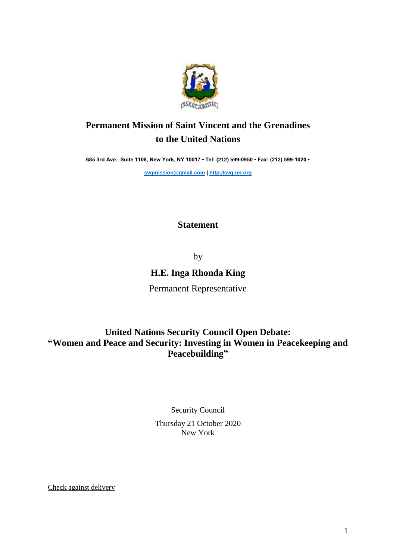

## **Permanent Mission of Saint Vincent and the Grenadines to the United Nations**

**685 3rd Ave., Suite 1108, New York, NY 10017 • Tel: (212) 599-0950 • Fax: (212) 599-1020 •** 

**[svgmission@gmail.com](mailto:svgmission@gmail.com) | [http://svg-un.org](http://svg-un.org/)**

## **Statement**

by

## **H.E. Inga Rhonda King**

Permanent Representative

## **United Nations Security Council Open Debate: "Women and Peace and Security: Investing in Women in Peacekeeping and Peacebuilding"**

Security Council Thursday 21 October 2020 New York

Check against delivery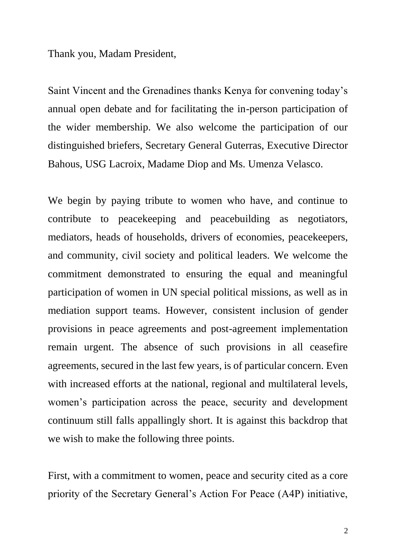Thank you, Madam President,

Saint Vincent and the Grenadines thanks Kenya for convening today's annual open debate and for facilitating the in-person participation of the wider membership. We also welcome the participation of our distinguished briefers, Secretary General Guterras, Executive Director Bahous, USG Lacroix, Madame Diop and Ms. Umenza Velasco.

We begin by paying tribute to women who have, and continue to contribute to peacekeeping and peacebuilding as negotiators, mediators, heads of households, drivers of economies, peacekeepers, and community, civil society and political leaders. We welcome the commitment demonstrated to ensuring the equal and meaningful participation of women in UN special political missions, as well as in mediation support teams. However, consistent inclusion of gender provisions in peace agreements and post-agreement implementation remain urgent. The absence of such provisions in all ceasefire agreements, secured in the last few years, is of particular concern. Even with increased efforts at the national, regional and multilateral levels, women's participation across the peace, security and development continuum still falls appallingly short. It is against this backdrop that we wish to make the following three points.

First, with a commitment to women, peace and security cited as a core priority of the Secretary General's Action For Peace (A4P) initiative,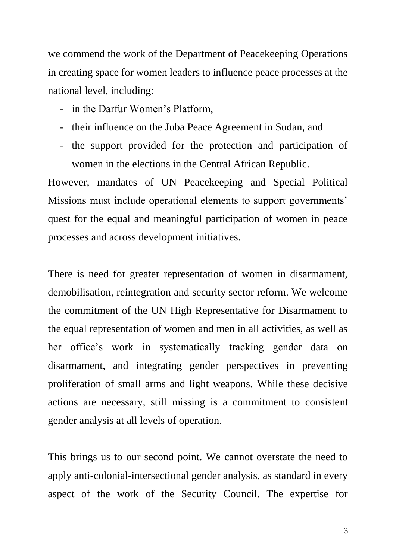we commend the work of the Department of Peacekeeping Operations in creating space for women leaders to influence peace processes at the national level, including:

- in the Darfur Women's Platform,
- their influence on the Juba Peace Agreement in Sudan, and
- the support provided for the protection and participation of women in the elections in the Central African Republic.

However, mandates of UN Peacekeeping and Special Political Missions must include operational elements to support governments' quest for the equal and meaningful participation of women in peace processes and across development initiatives.

There is need for greater representation of women in disarmament, demobilisation, reintegration and security sector reform. We welcome the commitment of the UN High Representative for Disarmament to the equal representation of women and men in all activities, as well as her office's work in systematically tracking gender data on disarmament, and integrating gender perspectives in preventing proliferation of small arms and light weapons. While these decisive actions are necessary, still missing is a commitment to consistent gender analysis at all levels of operation.

This brings us to our second point. We cannot overstate the need to apply anti-colonial-intersectional gender analysis, as standard in every aspect of the work of the Security Council. The expertise for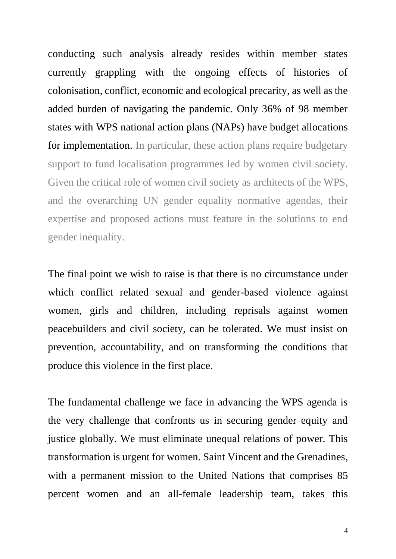conducting such analysis already resides within member states currently grappling with the ongoing effects of histories of colonisation, conflict, economic and ecological precarity, as well as the added burden of navigating the pandemic. Only 36% of 98 member states with WPS national action plans (NAPs) have budget allocations for implementation. In particular, these action plans require budgetary support to fund localisation programmes led by women civil society. Given the critical role of women civil society as architects of the WPS, and the overarching UN gender equality normative agendas, their expertise and proposed actions must feature in the solutions to end gender inequality.

The final point we wish to raise is that there is no circumstance under which conflict related sexual and gender-based violence against women, girls and children, including reprisals against women peacebuilders and civil society, can be tolerated. We must insist on prevention, accountability, and on transforming the conditions that produce this violence in the first place.

The fundamental challenge we face in advancing the WPS agenda is the very challenge that confronts us in securing gender equity and justice globally. We must eliminate unequal relations of power. This transformation is urgent for women. Saint Vincent and the Grenadines, with a permanent mission to the United Nations that comprises 85 percent women and an all-female leadership team, takes this